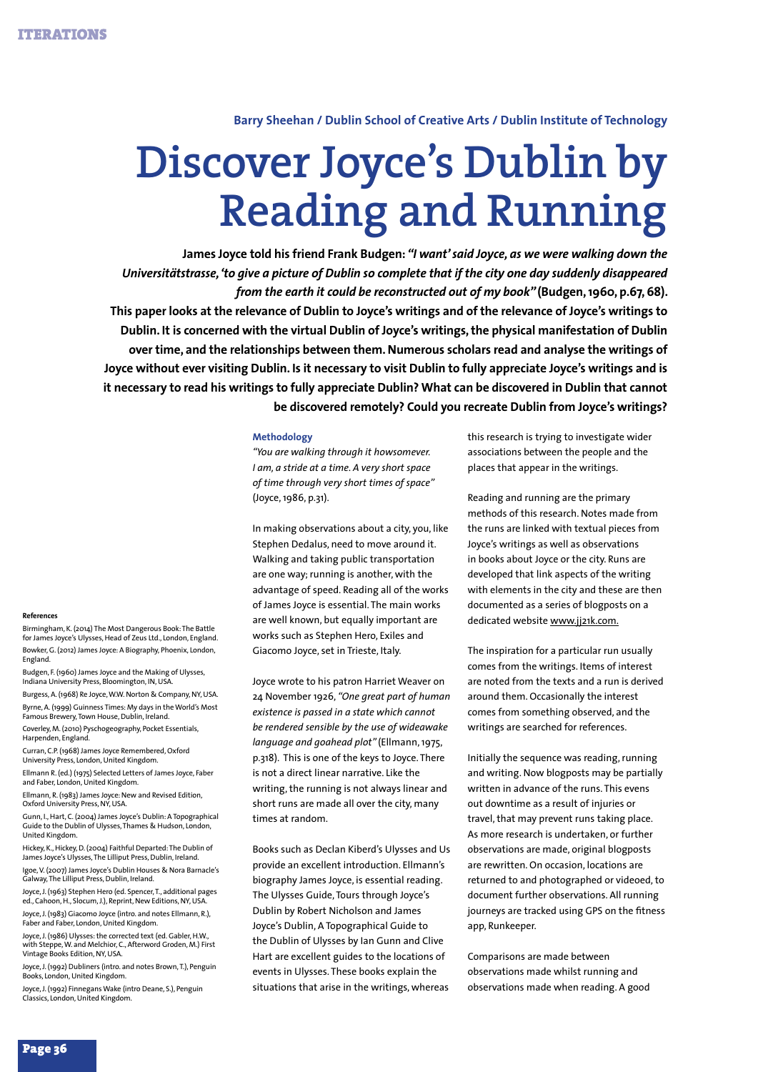# **Barry Sheehan / Dublin School of Creative Arts / Dublin Institute of Technology**

# **Discover Joyce's Dublin by Reading and Running**

**James Joyce told his friend Frank Budgen:** *"I want' said Joyce, as we were walking down the Universitätstrasse, 'to give a picture of Dublin so complete that if the city one day suddenly disappeared from the earth it could be reconstructed out of my book"* **(Budgen, 1960, p.67, 68). This paper looks at the relevance of Dublin to Joyce's writings and of the relevance of Joyce's writings to Dublin. It is concerned with the virtual Dublin of Joyce's writings, the physical manifestation of Dublin over time, and the relationships between them. Numerous scholars read and analyse the writings of Joyce without ever visiting Dublin. Is it necessary to visit Dublin to fully appreciate Joyce's writings and is it necessary to read his writings to fully appreciate Dublin? What can be discovered in Dublin that cannot be discovered remotely? Could you recreate Dublin from Joyce's writings?** 

## **Methodology**

*"You are walking through it howsomever. I am, a stride at a time. A very short space of time through very short times of space"*  (Joyce, 1986, p.31).

In making observations about a city, you, like Stephen Dedalus, need to move around it. Walking and taking public transportation are one way; running is another, with the advantage of speed. Reading all of the works of James Joyce is essential. The main works are well known, but equally important are works such as Stephen Hero, Exiles and Giacomo Joyce, set in Trieste, Italy.

Joyce wrote to his patron Harriet Weaver on 24 November 1926, *"One great part of human existence is passed in a state which cannot be rendered sensible by the use of wideawake language and goahead plot"* (Ellmann, 1975, p.318). This is one of the keys to Joyce. There is not a direct linear narrative. Like the writing, the running is not always linear and short runs are made all over the city, many times at random.

Books such as Declan Kiberd's Ulysses and Us provide an excellent introduction. Ellmann's biography James Joyce, is essential reading. The Ulysses Guide, Tours through Joyce's Dublin by Robert Nicholson and James Joyce's Dublin, A Topographical Guide to the Dublin of Ulysses by Ian Gunn and Clive Hart are excellent guides to the locations of events in Ulysses. These books explain the situations that arise in the writings, whereas

this research is trying to investigate wider associations between the people and the places that appear in the writings.

Reading and running are the primary methods of this research. Notes made from the runs are linked with textual pieces from Joyce's writings as well as observations in books about Joyce or the city. Runs are developed that link aspects of the writing with elements in the city and these are then documented as a series of blogposts on a dedicated website www.jj21k.com.

The inspiration for a particular run usually comes from the writings. Items of interest are noted from the texts and a run is derived around them. Occasionally the interest comes from something observed, and the writings are searched for references.

Initially the sequence was reading, running and writing. Now blogposts may be partially written in advance of the runs. This evens out downtime as a result of injuries or travel, that may prevent runs taking place. As more research is undertaken, or further observations are made, original blogposts are rewritten. On occasion, locations are returned to and photographed or videoed, to document further observations. All running journeys are tracked using GPS on the fitness app, Runkeeper.

Comparisons are made between observations made whilst running and observations made when reading. A good

## **References**

Birmingham, K. (2014) The Most Dangerous Book: The Battle for James Joyce's Ulysses, Head of Zeus Ltd., London, England. Bowker, G. (2012) James Joyce: A Biography, Phoenix, London, England.

Budgen, F. (1960) James Joyce and the Making of Ulysses, Indiana University Press, Bloomington, IN, USA.

Burgess, A. (1968) Re Joyce, W.W. Norton & Company, NY, USA. Byrne, A. (1999) Guinness Times: My days in the World's Most Famous Brewery, Town House, Dublin, Ireland.

Coverley, M. (2010) Pyschogeography, Pocket Essentials, Harpenden, England.

Curran, C.P. (1968) James Joyce Remembered, Oxford University Press, London, United Kingdom.

Ellmann R. (ed.) (1975) Selected Letters of James Joyce, Faber and Faber, London, United Kingdom.

Ellmann, R. (1983) James Joyce: New and Revised Edition, Oxford University Press, NY, USA.

Gunn, I., Hart, C. (2004) James Joyce's Dublin: A Topographical Guide to the Dublin of Ulysses, Thames & Hudson, London, United Kingdom.

Hickey, K., Hickey, D. (2004) Faithful Departed: The Dublin of James Joyce's Ulysses, The Lilliput Press, Dublin, Ireland. Igoe, V. (2007) James Joyce's Dublin Houses & Nora Barnacle's Galway, The Lilliput Press, Dublin, Ireland.

Joyce, J. (1963) Stephen Hero (ed. Spencer, T., additional pages ed., Cahoon, H., Slocum, J.), Reprint, New Editions, NY, USA. Joyce, J. (1983) Giacomo Joyce (intro. and notes Ellmann, R.),

Faber and Faber, London, United Kingdom. Joyce, J. (1986) Ulysses: the corrected text (ed. Gabler, H.W.,

with Steppe, W. and Melchior, C., Afterword Groden, M.) First Vintage Books Edition, NY, USA.

Joyce, J. (1992) Dubliners (intro. and notes Brown, T.), Penguin Books, London, United Kingdom.

Joyce, J. (1992) Finnegans Wake (intro Deane, S.), Penguin Classics, London, United Kingdom.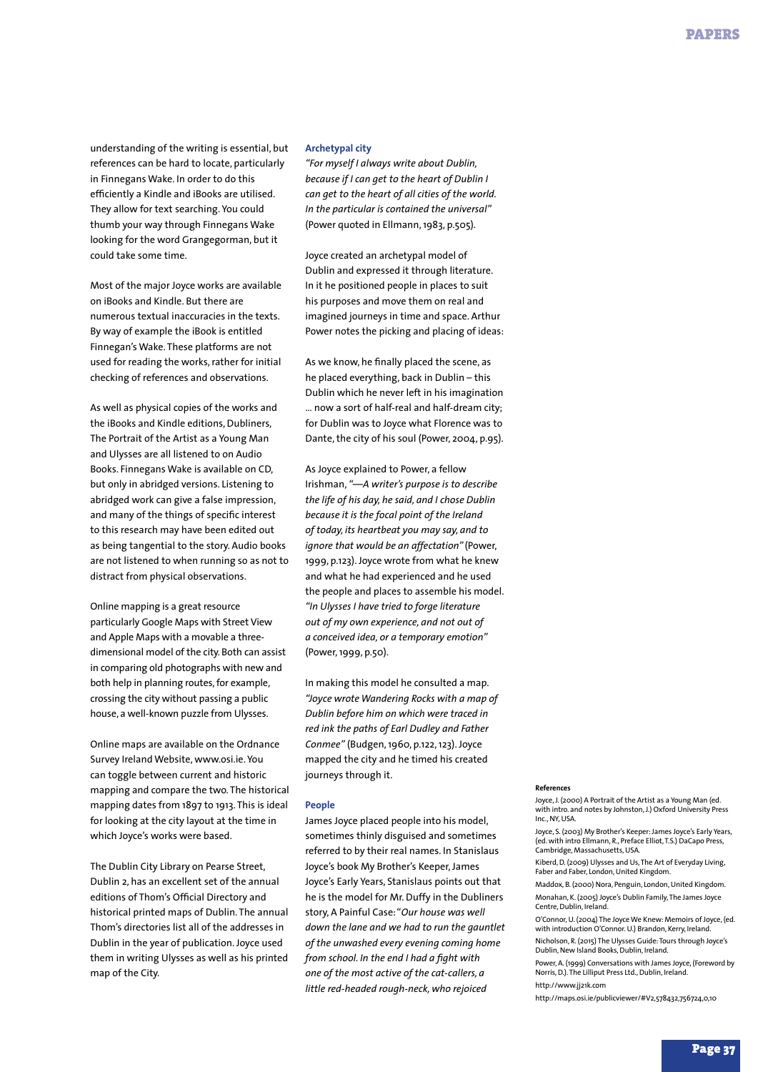understanding of the writing is essential, but references can be hard to locate, particularly in Finnegans Wake. In order to do this efficiently a Kindle and iBooks are utilised. They allow for text searching. You could thumb your way through Finnegans Wake looking for the word Grangegorman, but it could take some time.

Most of the major Joyce works are available on iBooks and Kindle. But there are numerous textual inaccuracies in the texts. By way of example the iBook is entitled Finnegan's Wake. These platforms are not used for reading the works, rather for initial checking of references and observations.

As well as physical copies of the works and the iBooks and Kindle editions, Dubliners, The Portrait of the Artist as a Young Man and Ulysses are all listened to on Audio Books. Finnegans Wake is available on CD, but only in abridged versions. Listening to abridged work can give a false impression, and many of the things of specific interest to this research may have been edited out as being tangential to the story. Audio books are not listened to when running so as not to distract from physical observations.

Online mapping is a great resource particularly Google Maps with Street View and Apple Maps with a movable a threedimensional model of the city. Both can assist in comparing old photographs with new and both help in planning routes, for example, crossing the city without passing a public house, a well-known puzzle from Ulysses.

Online maps are available on the Ordnance Survey Ireland Website, www.osi.ie. You can toggle between current and historic mapping and compare the two. The historical mapping dates from 1897 to 1913. This is ideal for looking at the city layout at the time in which Joyce's works were based.

The Dublin City Library on Pearse Street, Dublin 2, has an excellent set of the annual editions of Thom's Official Directory and historical printed maps of Dublin. The annual Thom's directories list all of the addresses in Dublin in the year of publication. Joyce used them in writing Ulysses as well as his printed map of the City.

# **Archetypal city**

*"For myself I always write about Dublin, because if I can get to the heart of Dublin I can get to the heart of all cities of the world. In the particular is contained the universal"*  (Power quoted in Ellmann, 1983, p.505).

Joyce created an archetypal model of Dublin and expressed it through literature. In it he positioned people in places to suit his purposes and move them on real and imagined journeys in time and space. Arthur Power notes the picking and placing of ideas:

As we know, he finally placed the scene, as he placed everything, back in Dublin – this Dublin which he never left in his imagination … now a sort of half-real and half-dream city; for Dublin was to Joyce what Florence was to Dante, the city of his soul (Power, 2004, p.95).

As Joyce explained to Power, a fellow Irishman, *"—A writer's purpose is to describe the life of his day, he said, and I chose Dublin because it is the focal point of the Ireland of today, its heartbeat you may say, and to ignore that would be an affectation"* (Power, 1999, p.123). Joyce wrote from what he knew and what he had experienced and he used the people and places to assemble his model. *"In Ulysses I have tried to forge literature out of my own experience, and not out of a conceived idea, or a temporary emotion"* (Power, 1999, p.50).

In making this model he consulted a map. *"Joyce wrote Wandering Rocks with a map of Dublin before him on which were traced in red ink the paths of Earl Dudley and Father Conmee"* (Budgen, 1960, p.122, 123). Joyce mapped the city and he timed his created journeys through it.

### **People**

James Joyce placed people into his model, sometimes thinly disguised and sometimes referred to by their real names. In Stanislaus Joyce's book My Brother's Keeper, James Joyce's Early Years, Stanislaus points out that he is the model for Mr. Duffy in the Dubliners story, A Painful Case: "*Our house was well down the lane and we had to run the gauntlet of the unwashed every evening coming home from school. In the end I had a fight with one of the most active of the cat-callers, a little red-headed rough-neck, who rejoiced* 

#### **References**

Joyce, J. (2000) A Portrait of the Artist as a Young Man (ed. with intro. and notes by Johnston, J.) Oxford University Press Inc., NY, USA.

Joyce, S. (2003) My Brother's Keeper: James Joyce's Early Years, (ed. with intro Ellmann, R., Preface Elliot, T.S.) DaCapo Press, .<br>Cambridge, Massachusetts, USA

Kiberd, D. (2009) Ulysses and Us, The Art of Everyday Living, Faber and Faber, London, United Kingdom.

Maddox, B. (2000) Nora, Penguin, London, United Kingdom. Monahan, K. (2005) Joyce's Dublin Family, The James Joyce Centre, Dublin, Ireland.

O'Connor, U. (2004) The Joyce We Knew: Memoirs of Joyce, (ed. with introduction O'Connor. U.) Brandon, Kerry, Ireland. Nicholson, R. (2015) The Ulysses Guide: Tours through Joyce's

Dublin, New Island Books, Dublin, Ireland.

Power, A. (1999) Conversations with James Joyce, (Foreword by Norris, D.). The Lilliput Press Ltd., Dublin, Ireland. http://www.jj21k.com

http://maps.osi.ie/publicviewer/#V2,578432,756724,0,10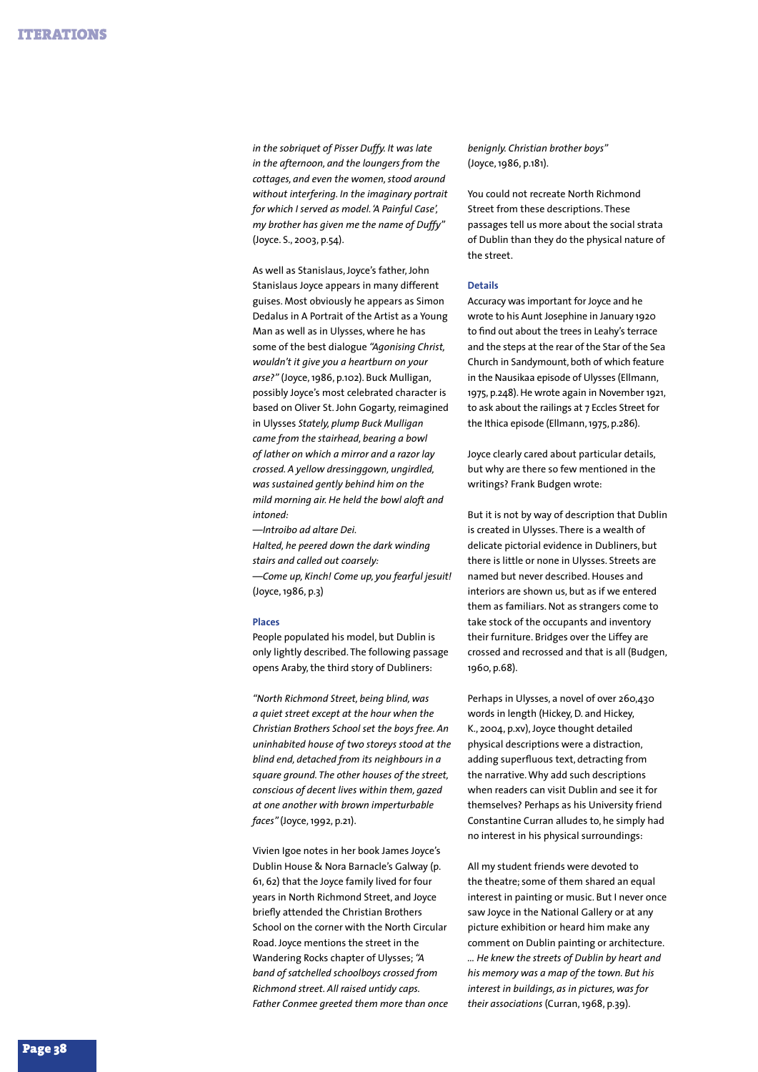*in the sobriquet of Pisser Duffy. It was late in the afternoon, and the loungers from the cottages, and even the women, stood around without interfering. In the imaginary portrait for which I served as model. 'A Painful Case', my brother has given me the name of Duffy"*  (Joyce. S., 2003, p.54).

As well as Stanislaus, Joyce's father, John Stanislaus Joyce appears in many different guises. Most obviously he appears as Simon Dedalus in A Portrait of the Artist as a Young Man as well as in Ulysses, where he has some of the best dialogue *"Agonising Christ, wouldn't it give you a heartburn on your arse?"* (Joyce, 1986, p.102). Buck Mulligan, possibly Joyce's most celebrated character is based on Oliver St. John Gogarty, reimagined in Ulysses *Stately, plump Buck Mulligan came from the stairhead, bearing a bowl of lather on which a mirror and a razor lay crossed. A yellow dressinggown, ungirdled, was sustained gently behind him on the mild morning air. He held the bowl aloft and intoned:*

*—Introibo ad altare Dei. Halted, he peered down the dark winding stairs and called out coarsely: —Come up, Kinch! Come up, you fearful jesuit!* (Joyce, 1986, p.3)

# **Places**

People populated his model, but Dublin is only lightly described. The following passage opens Araby, the third story of Dubliners:

*"North Richmond Street, being blind, was a quiet street except at the hour when the Christian Brothers School set the boys free. An uninhabited house of two storeys stood at the blind end, detached from its neighbours in a square ground. The other houses of the street, conscious of decent lives within them, gazed at one another with brown imperturbable faces"* (Joyce, 1992, p.21).

Vivien Igoe notes in her book James Joyce's Dublin House & Nora Barnacle's Galway (p. 61, 62) that the Joyce family lived for four years in North Richmond Street, and Joyce briefly attended the Christian Brothers School on the corner with the North Circular Road. Joyce mentions the street in the Wandering Rocks chapter of Ulysses; *"A band of satchelled schoolboys crossed from Richmond street. All raised untidy caps. Father Conmee greeted them more than once*  *benignly. Christian brother boys"*  (Joyce, 1986, p.181).

You could not recreate North Richmond Street from these descriptions. These passages tell us more about the social strata of Dublin than they do the physical nature of the street.

## **Details**

Accuracy was important for Joyce and he wrote to his Aunt Josephine in January 1920 to find out about the trees in Leahy's terrace and the steps at the rear of the Star of the Sea Church in Sandymount, both of which feature in the Nausikaa episode of Ulysses (Ellmann, 1975, p.248). He wrote again in November 1921, to ask about the railings at 7 Eccles Street for the Ithica episode (Ellmann, 1975, p.286).

Joyce clearly cared about particular details, but why are there so few mentioned in the writings? Frank Budgen wrote:

But it is not by way of description that Dublin is created in Ulysses. There is a wealth of delicate pictorial evidence in Dubliners, but there is little or none in Ulysses. Streets are named but never described. Houses and interiors are shown us, but as if we entered them as familiars. Not as strangers come to take stock of the occupants and inventory their furniture. Bridges over the Liffey are crossed and recrossed and that is all (Budgen, 1960, p.68).

Perhaps in Ulysses, a novel of over 260,430 words in length (Hickey, D. and Hickey, K., 2004, p.xv), Joyce thought detailed physical descriptions were a distraction, adding superfluous text, detracting from the narrative. Why add such descriptions when readers can visit Dublin and see it for themselves? Perhaps as his University friend Constantine Curran alludes to, he simply had no interest in his physical surroundings:

All my student friends were devoted to the theatre; some of them shared an equal interest in painting or music. But I never once saw Joyce in the National Gallery or at any picture exhibition or heard him make any comment on Dublin painting or architecture. *… He knew the streets of Dublin by heart and his memory was a map of the town. But his interest in buildings, as in pictures, was for their associations* (Curran, 1968, p.39).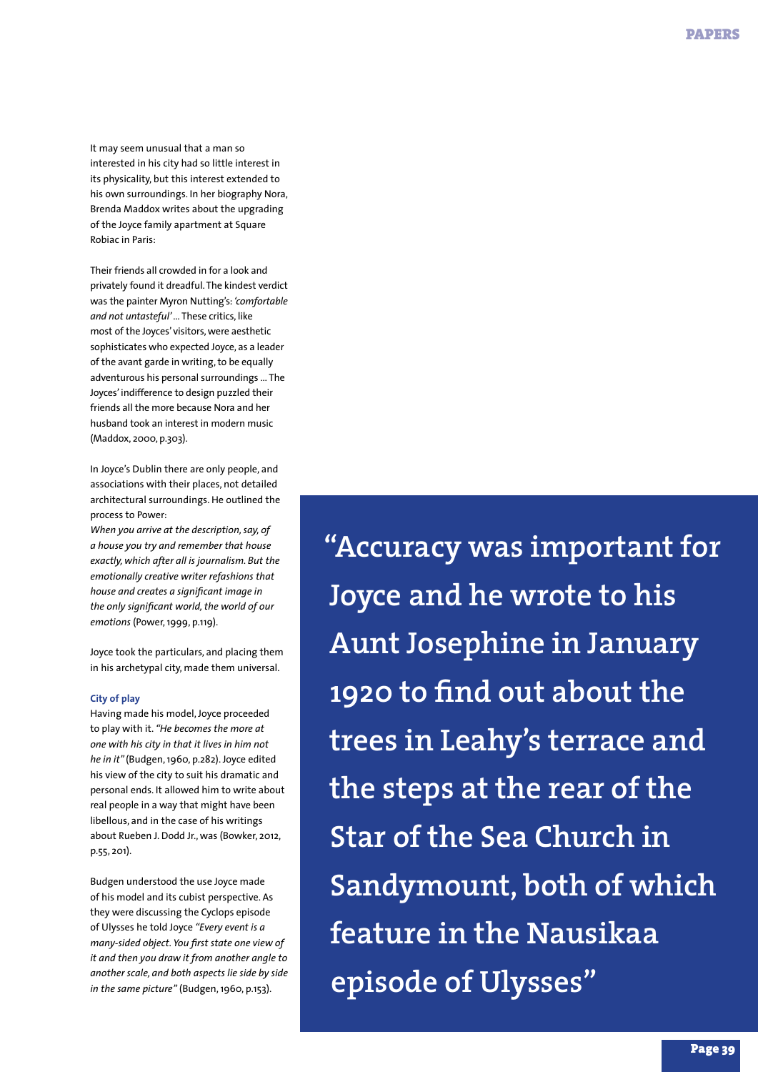It may seem unusual that a man so interested in his city had so little interest in its physicality, but this interest extended to his own surroundings. In her biography Nora, Brenda Maddox writes about the upgrading of the Joyce family apartment at Square Robiac in Paris:

Their friends all crowded in for a look and privately found it dreadful. The kindest verdict was the painter Myron Nutting's: *'comfortable and not untasteful'* … These critics, like most of the Joyces' visitors, were aesthetic sophisticates who expected Joyce, as a leader of the avant garde in writing, to be equally adventurous his personal surroundings … The Joyces' indifference to design puzzled their friends all the more because Nora and her husband took an interest in modern music (Maddox, 2000, p.303).

In Joyce's Dublin there are only people, and associations with their places, not detailed architectural surroundings. He outlined the process to Power:

*When you arrive at the description, say, of a house you try and remember that house exactly, which after all is journalism. But the emotionally creative writer refashions that house and creates a significant image in the only significant world, the world of our emotions* (Power, 1999, p.119).

Joyce took the particulars, and placing them in his archetypal city, made them universal.

# **City of play**

Having made his model, Joyce proceeded to play with it. *"He becomes the more at one with his city in that it lives in him not he in it"* (Budgen, 1960, p.282). Joyce edited his view of the city to suit his dramatic and personal ends. It allowed him to write about real people in a way that might have been libellous, and in the case of his writings about Rueben J. Dodd Jr., was (Bowker, 2012, p.55, 201).

Budgen understood the use Joyce made of his model and its cubist perspective. As they were discussing the Cyclops episode of Ulysses he told Joyce *"Every event is a many-sided object. You first state one view of it and then you draw it from another angle to another scale, and both aspects lie side by side in the same picture"* (Budgen, 1960, p.153).

**"Accuracy was important for Joyce and he wrote to his Aunt Josephine in January 1920 to find out about the trees in Leahy's terrace and the steps at the rear of the Star of the Sea Church in Sandymount, both of which feature in the Nausikaa episode of Ulysses"**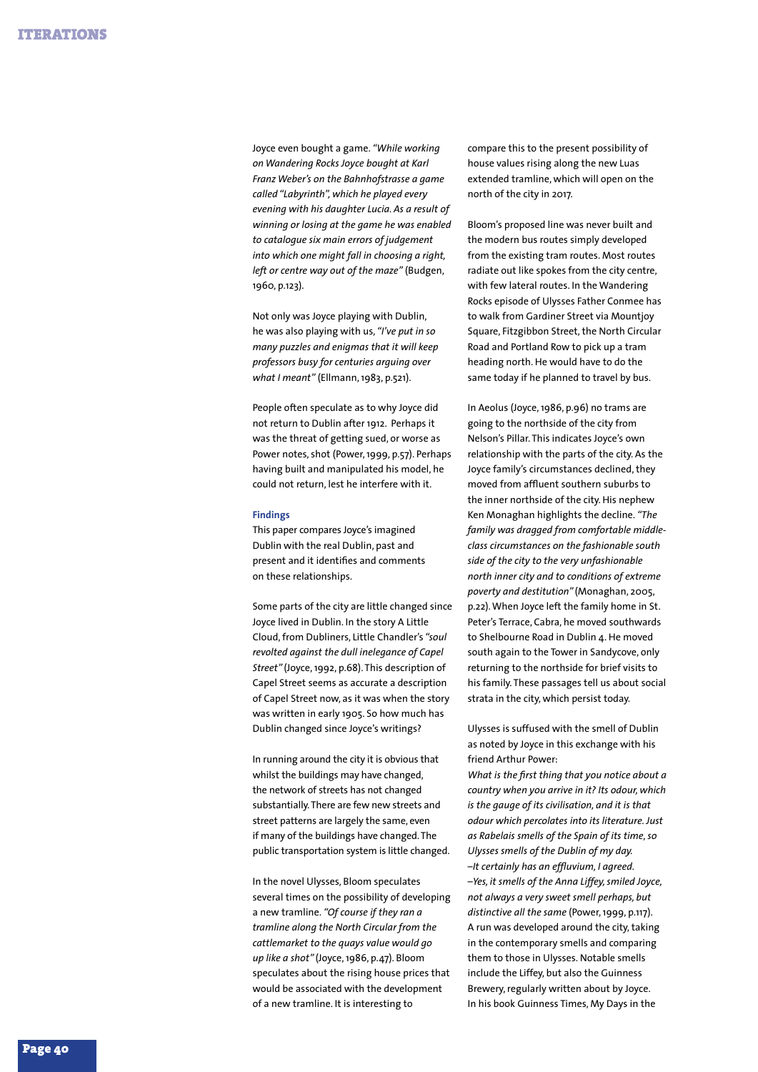Joyce even bought a game. *"While working on Wandering Rocks Joyce bought at Karl Franz Weber's on the Bahnhofstrasse a game called "Labyrinth", which he played every evening with his daughter Lucia. As a result of winning or losing at the game he was enabled to catalogue six main errors of judgement into which one might fall in choosing a right, left or centre way out of the maze"* (Budgen, 1960, p.123).

Not only was Joyce playing with Dublin, he was also playing with us, *"I've put in so many puzzles and enigmas that it will keep professors busy for centuries arguing over what I meant"* (Ellmann, 1983, p.521).

People often speculate as to why Joyce did not return to Dublin after 1912. Perhaps it was the threat of getting sued, or worse as Power notes, shot (Power, 1999, p.57). Perhaps having built and manipulated his model, he could not return, lest he interfere with it.

## **Findings**

This paper compares Joyce's imagined Dublin with the real Dublin, past and present and it identifies and comments on these relationships.

Some parts of the city are little changed since Joyce lived in Dublin. In the story A Little Cloud, from Dubliners, Little Chandler's *"soul revolted against the dull inelegance of Capel Street"* (Joyce, 1992, p.68). This description of Capel Street seems as accurate a description of Capel Street now, as it was when the story was written in early 1905. So how much has Dublin changed since Joyce's writings?

In running around the city it is obvious that whilst the buildings may have changed, the network of streets has not changed substantially. There are few new streets and street patterns are largely the same, even if many of the buildings have changed. The public transportation system is little changed.

In the novel Ulysses, Bloom speculates several times on the possibility of developing a new tramline. *"Of course if they ran a tramline along the North Circular from the cattlemarket to the quays value would go up like a shot"* (Joyce, 1986, p.47). Bloom speculates about the rising house prices that would be associated with the development of a new tramline. It is interesting to

compare this to the present possibility of house values rising along the new Luas extended tramline, which will open on the north of the city in 2017.

Bloom's proposed line was never built and the modern bus routes simply developed from the existing tram routes. Most routes radiate out like spokes from the city centre, with few lateral routes. In the Wandering Rocks episode of Ulysses Father Conmee has to walk from Gardiner Street via Mountjoy Square, Fitzgibbon Street, the North Circular Road and Portland Row to pick up a tram heading north. He would have to do the same today if he planned to travel by bus.

In Aeolus (Joyce, 1986, p.96) no trams are going to the northside of the city from Nelson's Pillar. This indicates Joyce's own relationship with the parts of the city. As the Joyce family's circumstances declined, they moved from affluent southern suburbs to the inner northside of the city. His nephew Ken Monaghan highlights the decline. *"The family was dragged from comfortable middleclass circumstances on the fashionable south side of the city to the very unfashionable north inner city and to conditions of extreme poverty and destitution"* (Monaghan, 2005, p.22). When Joyce left the family home in St. Peter's Terrace, Cabra, he moved southwards to Shelbourne Road in Dublin 4. He moved south again to the Tower in Sandycove, only returning to the northside for brief visits to his family. These passages tell us about social strata in the city, which persist today.

Ulysses is suffused with the smell of Dublin as noted by Joyce in this exchange with his friend Arthur Power:

*What is the first thing that you notice about a country when you arrive in it? Its odour, which is the gauge of its civilisation, and it is that odour which percolates into its literature. Just as Rabelais smells of the Spain of its time, so Ulysses smells of the Dublin of my day. –It certainly has an effluvium, I agreed. –Yes, it smells of the Anna Liffey, smiled Joyce, not always a very sweet smell perhaps, but distinctive all the same* (Power, 1999, p.117). A run was developed around the city, taking in the contemporary smells and comparing them to those in Ulysses. Notable smells include the Liffey, but also the Guinness Brewery, regularly written about by Joyce. In his book Guinness Times, My Days in the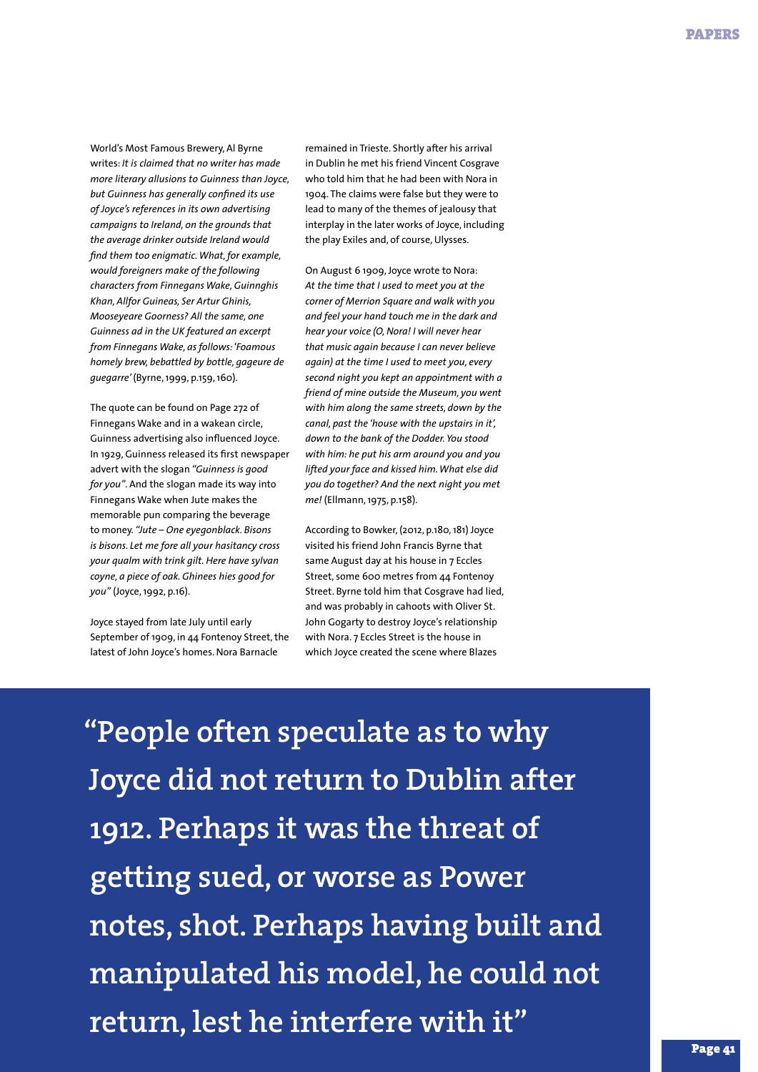World's Most Famous Brewery, Al Byrne writes: *It is claimed that no writer has made more literary allusions to Guinness than Joyce, but Guinness has generally confined its use of Joyce's references in its own advertising campaigns to Ireland, on the grounds that the average drinker outside Ireland would find them too enigmatic. What, for example, would foreigners make of the following characters from Finnegans Wake, Guinnghis Khan, Allfor Guineas, Ser Artur Ghinis, Mooseyeare Goorness? All the same, one Guinness ad in the UK featured an excerpt from Finnegans Wake, as follows: 'Foamous homely brew, bebattled by bottle, gageure de guegarre'* (Byrne, 1999, p.159, 160).

The quote can be found on Page 272 of Finnegans Wake and in a wakean circle, Guinness advertising also influenced Joyce. In 1929, Guinness released its first newspaper advert with the slogan *"Guinness is good for you"*. And the slogan made its way into Finnegans Wake when Jute makes the memorable pun comparing the beverage to money. *"Jute – One eyegonblack. Bisons is bisons. Let me fore all your hasitancy cross your qualm with trink gilt. Here have sylvan coyne, a piece of oak. Ghinees hies good for you"* (Joyce, 1992, p.16).

Joyce stayed from late July until early September of 1909, in 44 Fontenoy Street, the latest of John Joyce's homes. Nora Barnacle

remained in Trieste. Shortly after his arrival in Dublin he met his friend Vincent Cosgrave who told him that he had been with Nora in 1904. The claims were false but they were to lead to many of the themes of jealousy that interplay in the later works of Joyce, including the play Exiles and, of course, Ulysses.

On August 6 1909, Joyce wrote to Nora: *At the time that I used to meet you at the corner of Merrion Square and walk with you and feel your hand touch me in the dark and hear your voice (O, Nora! I will never hear that music again because I can never believe again) at the time I used to meet you, every second night you kept an appointment with a friend of mine outside the Museum, you went with him along the same streets, down by the canal, past the 'house with the upstairs in it', down to the bank of the Dodder. You stood with him: he put his arm around you and you lifted your face and kissed him. What else did you do together? And the next night you met me!* (Ellmann, 1975, p.158).

According to Bowker, (2012, p.180, 181) Joyce visited his friend John Francis Byrne that same August day at his house in 7 Eccles Street, some 600 metres from 44 Fontenoy Street. Byrne told him that Cosgrave had lied, and was probably in cahoots with Oliver St. John Gogarty to destroy Joyce's relationship with Nora. 7 Eccles Street is the house in which Joyce created the scene where Blazes

**"People often speculate as to why Joyce did not return to Dublin after 1912. Perhaps it was the threat of getting sued, or worse as Power notes, shot. Perhaps having built and manipulated his model, he could not return, lest he interfere with it"**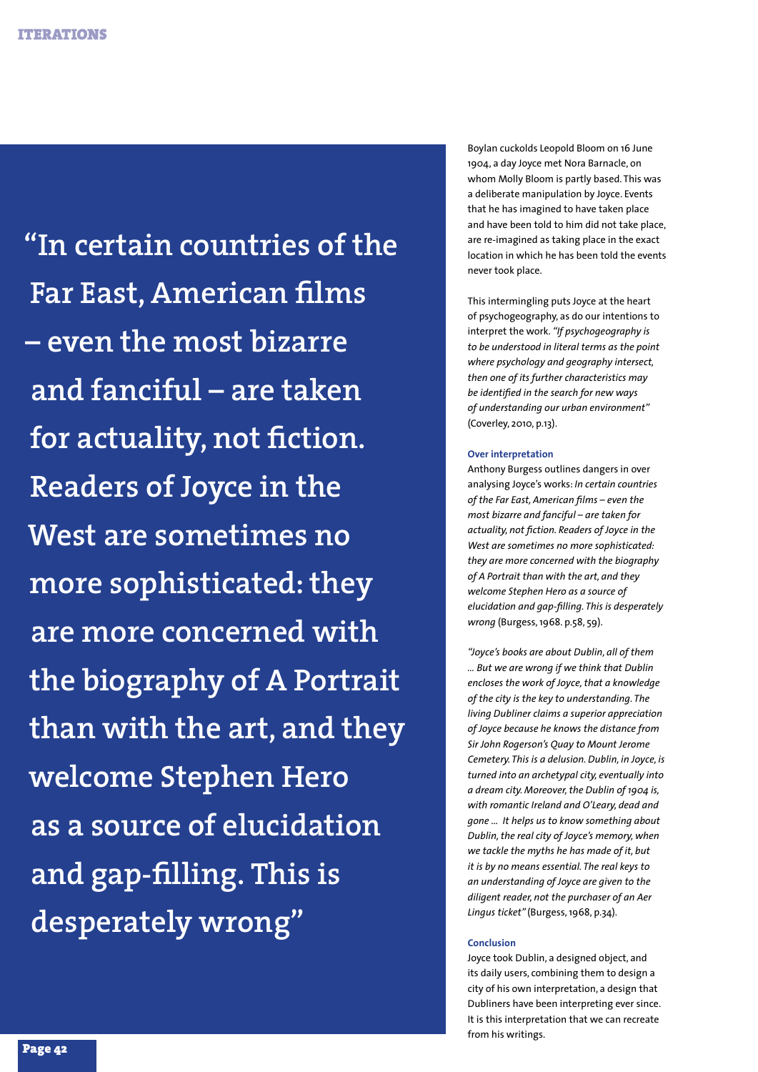**"In certain countries of the Far East, American films – even the most bizarre and fanciful – are taken for actuality, not fiction. Readers of Joyce in the West are sometimes no more sophisticated: they are more concerned with the biography of A Portrait than with the art, and they welcome Stephen Hero as a source of elucidation and gap-filling. This is desperately wrong"**

Boylan cuckolds Leopold Bloom on 16 June 1904, a day Joyce met Nora Barnacle, on whom Molly Bloom is partly based. This was a deliberate manipulation by Joyce. Events that he has imagined to have taken place and have been told to him did not take place, are re-imagined as taking place in the exact location in which he has been told the events never took place.

This intermingling puts Joyce at the heart of psychogeography, as do our intentions to interpret the work. *"If psychogeography is to be understood in literal terms as the point where psychology and geography intersect, then one of its further characteristics may be identified in the search for new ways of understanding our urban environment"*  (Coverley, 2010, p.13).

# **Over interpretation**

Anthony Burgess outlines dangers in over analysing Joyce's works: *In certain countries of the Far East, American films – even the most bizarre and fanciful – are taken for actuality, not fiction. Readers of Joyce in the West are sometimes no more sophisticated: they are more concerned with the biography of A Portrait than with the art, and they welcome Stephen Hero as a source of elucidation and gap-filling. This is desperately wrong* (Burgess, 1968. p.58, 59).

*"Joyce's books are about Dublin, all of them … But we are wrong if we think that Dublin encloses the work of Joyce, that a knowledge of the city is the key to understanding. The living Dubliner claims a superior appreciation of Joyce because he knows the distance from Sir John Rogerson's Quay to Mount Jerome Cemetery. This is a delusion. Dublin, in Joyce, is turned into an archetypal city, eventually into a dream city. Moreover, the Dublin of 1904 is, with romantic Ireland and O'Leary, dead and gone … It helps us to know something about Dublin, the real city of Joyce's memory, when we tackle the myths he has made of it, but it is by no means essential. The real keys to an understanding of Joyce are given to the diligent reader, not the purchaser of an Aer Lingus ticket"* (Burgess, 1968, p.34).

## **Conclusion**

Joyce took Dublin, a designed object, and its daily users, combining them to design a city of his own interpretation, a design that Dubliners have been interpreting ever since. It is this interpretation that we can recreate from his writings.